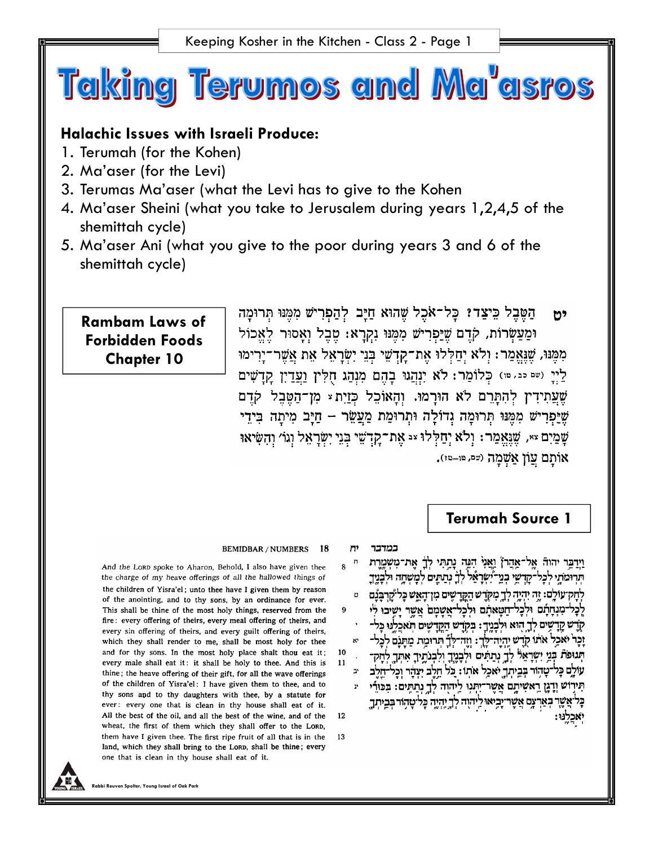

# **Halachic Issues with Israeli Produce:**

- 1. Terumah (for the Kohen)
- 2. Ma'aser (for the Levi)
- 3. Terumas Ma'aser (what the Levi has to give to the Kohen
- 4. Ma'aser Sheini (what you take to Jerusalem during years 1,2,4,5 of the shemittah cycle)
- 5. Ma'aser Ani (what you give to the poor during years 3 and 6 of the shemittah cycle)

# **Rambam Laws of Forbidden Foods Chapter 10**

הַטֶּבֶל כִּיצַדוּ כַּל־אֹכֶל שֶׁהוּא חַיַּב לְהַפְרִישׁ מִמֵּנּוּ תְּרוּמַה 125 וּמַעַשְׂרוֹת, קֹדֵם שֶׁיַפְרִישׁ מִמְּנּוּ נִקְרַא: מֶבֶל וְאַסוּר לֵאֱכוֹל מִמֵּנּוּ, שֶׁנֵאֲמֵר: וְלֹא יְחַלְלוּ אֶת־קַדְשֶׁי בְּנֵי יִשְׂרָאֵל אֶת אֲשֶׁר־יָרִימוּ לַיְיָ (שם כבּ, שוּ) כְּלוֹמַר: לֹא יִנְהֲגוּ בְהֶם מִנְהַג חָלִין וַעֲדַיִן קִדְשִׁים שֶׁעֲתִידִין לְהִתָּרֵם לֹא הוּרָמוּ. וְהָאוֹכֵל כְּזַיִת<sup>ַ</sup> מְן־הַטֶּבֵל קֹדֵם שֵׁיַפְרִישׁ מִמֵּנּוּ תְרוּמַה גְדוֹלַה וּתְרוּמַת מֲעֲשֶׂר – חַיַּב מִיתַה בִּידֵי שָׁמֵיִם ×\*, שֶׁגֶּאֱמֵר: וְלֹא יְחַלְּלוּ ×ִ אֶת־קָךְשֵׁי בְּנֵי יִשְׂרָאֵל וְגוֹ׳ וְהָשִּׂיאוּ אותם עון אַשָּׁמַה (שפ, פו-פו).

# **Terumah Source 1**

וַיִּדְבֵר יהוֹה אל־אַהֲרֹן וַאֲנֵי הָנֶה נַתְתִּי לֹךָ את־משמֵרת

תרומתי לכל־קדשי בני־יָשְרַאֵל לְךָ נְתַתֵּים לִמְשִׁחֲה וּלְבָנֵיךָ

לְכָל-מְנְחָתָם וּלְכַל-חֲשָאתֶם וּלְכַל-אֲשֶׁמֵם אִשֶּׁר יַשִּׁיבוּ לֹי

קְדָש קָדָשִׁים לְךָ הוּא וּלְבָנֵיךָ: בְּקְדֵש הַקֵּדְשִׁים הְאִכְלֵנוּ כָּל-

זַכָּר יֹאכֵל אתו קדש יהיה־לך: וזה־לך תרומת מתנם לכל-

הְנוּפֹּת בְּנֵי יִשְׁרָאֵל לְךָ נְתַתִּים וּלְבָנֵיֶךָ וְלְבִנֹתֵיךָ אִתְּךָ לְחַקְ־

עולֶם כַּל־טֲהוּר בִּבֵיתְךָ יֹאכֵל אֹתוֹ: כַּל חֵלֶב יעָהֶר וכל־חלב

תִּירְוּשׁ וְדָגֶן רֵאשִׁיתֵם אֲשֶר־יִתְּנִוּ לַיְהוָה לְךָ נְתַתֵּים: בְּכּוּרֵי

ֹאֲשֶׁרָ בְּאַרְצֶם אֲשֶׁר־יָבִיאוּ לֵיהוָה לְךָיֵהְהֶ כְּלֹיטָהְוֹר בְּבֵיתְךָ

לְהַקִיעוֹלֵם: זֶה יִהְיֶה לְךָ מְקֹרֵשׁ הָקֵרְשִׁים מְוְיִהָאֵשׁ כַּל<sup>ְג</sup>ַקְרְבַּנָּם \_\_e\_\_\_\_\_\_\_\_\_\_

## BEMIDBAR / NUMBERS 18

H,

 $\mathbf{Q}$ 

 $10$ 

 $11$ 

12

13

 $\mathbf{R}^{\bullet}$ 

 $\mathbf{P}$ 

במדבר

And the LORD spoke to Aharon, Behold, I also have given thee the charge of my heave offerings of all the hallowed things of the children of Yisra'el: unto thee have I given them by reason of the anointing, and to thy sons, by an ordinance for ever. This shall be thine of the most holy things, reserved from the fire: every offering of theirs, every meal offering of theirs, and every sin offering of theirs, and every guilt offering of theirs, which they shall render to me, shall be most holy for thee and for thy sons. In the most holy place shalt thou eat it; every male shall eat it: it shall be holy to thee. And this is thine; the heave offering of their gift, for all the wave offerings of the children of Yisra'el: I have given them to thee, and to thy sons and to thy daughters with thee, by a statute for ever: every one that is clean in thy house shall eat of it. All the best of the oil, and all the best of the wine, and of the wheat, the first of them which they shall offer to the LORD, them have I given thee. The first ripe fruit of all that is in the land, which they shall bring to the Lorp, shall be thine; every one that is clean in thy house shall eat of it.

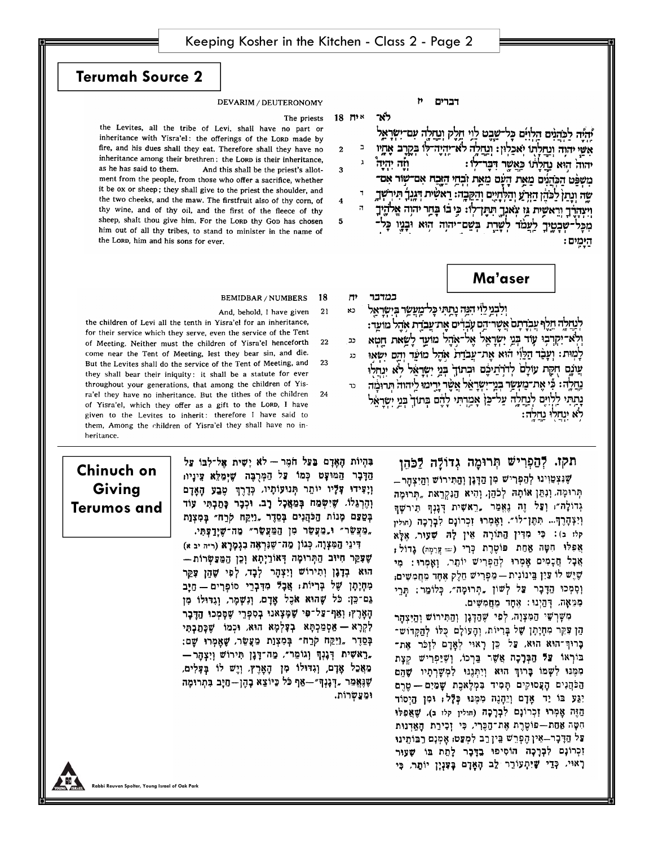$18$  יח

3

4

5

לא־

**Terumah Source 2**

## DEVARIM / DEUTERONOMY

### The priests

the Levites, all the tribe of Levi, shall have no part or inheritance with Yisra'el: the offerings of the LORD made by fire, and his dues shall they eat. Therefore shall they have no inheritance among their brethren: the LORD is their inheritance, as he has said to them. And this shall be the priest's allotment from the people, from those who offer a sacrifice, whether it be ox or sheep; they shall give to the priest the shoulder, and the two cheeks, and the maw. The firstfruit also of thy corn, of thy wine, and of thy oil, and the first of the fleece of thy sheep, shalt thou give him. For the Lorp thy Gop has chosen him out of all thy tribes, to stand to minister in the name of the LORD, him and his sons for ever.

#### Ħ דברים

יהיה לכהנים הלוים כל־שבט לוי חלק ונחלה עם־ישראל  $\blacksquare$ אשי יהוה ונחלתו יאכלון: ונחלה לא־יהיה־לו בקרב אֶחֶיו  $\mathbf{1}$ ੀਜ਼ਾ ਸੂਸੀ יהוה הוא נתלתו כַּאַשֵּׁר דְּבֵּר־לְוּ: מִשְּׂפֵּט הַכְּהֲנִים מֵאֵת הָעָם מֵאֵת וְבְחֵי הַזֶּבַח אִם־שְוֹר אִם־ שה ונתן לכהן הורע והלחיים והקבה: ראשית דגגר תירשך וְיִצְהַרֶךְ וְרֵאשִׁית גֵּוּ צְאֹנְךָ הְהֶן־לְוּ: כְּיָ בֹּוּ בְּחֵר יהוְה אֱלֹהֶיךָ מכּל-שִׁבְטֵיךָ לַעֲמֹד לְשָׁרֵת בְּשֵׁם־יהוָה הִוּא וּבָנֶיו הַיַמֵים:

# **Ma'aser**

 $\Pi^*$ במדבר ולבני לוי הנה נתתי כל מעשר בישראל כא לְנַחֲלֶה חֵלֶף עֲבְדָתָם אֲשֶר הֵם עָבְדִים אֶת־עֲבֹדֶת אָהֶל מוּעֵר: ולא־יקרבו עוד בני ישראל אל־אהל מועד לשאת חטא כב לַמִּוּת: וְעֲבָד הַלֵּוִי הוּא את־עבדת אהל מועד והם ישאוּ  $22 -$ עֲוֹנֶם חֻקָּת עוֹלָם לְדֹרְהֵיכֶם וּבְתוּךָ בְּנֵי יְשְׂרָאֵל לֹא יְנַחְלוּ נַחֲלֶה: כִּי אֶת־מָעְשֶׂר בְּנֵי־יִשְׂרָאֵל אֲשֶׂר יַרִימוּ לַיהוּה תּרוּמֹה נְתַתִּי לַלְוָיָם לְנֵחֲלֶה עַל־כֵּן אָמֵרְתִּי לָהֶם בְּתוּךָ בְּנֵי יְשָׁרַאֵּל

# תקז. לְהַפְרִישׁ תְּרוּמֶה גְדוֹלָה לַכֹּהֶן

שְנִצְטַוְינוּ לְהַפְרִישׁ מְן הַדְּנֵן וְהַתִּיְרוֹשׁ וְהִיצַהְרְ תְרוּמָה וְנְתֵן אוֹתָה לְכֹהֵן, וְהִיא הַנִּקְרֵאת "תְרוּמָה גְדוֹלָה": וְצַל זֶה נָאֱמַר "רֵאשִית דְּגָנְךָ תִירִשְׁךָ וְיִצְהָרֶךָ… תִּתֶּן־לוֹ״. וְאֲמְרוּ זְכְרוֹנָם לְבָרְכָה (הוּלִין קלו ב): כִּי מִדִּין הַתּוֹרָה אֵין לָה שָׁעוּר, אֶלָא אֲפִלוּ חִטָּה אֲחַת פּוֹטֶרֶת כְּרֵי (= עֲרֵמֶה) גָדוֹל: אֲבָל חֲכָמִים אָמְרוּ לְהַפְרִישׁ יוֹתֵר, וְאָמְרוּ: מִי שֶׁיֶש לוֹ צֵיִן בֵּינוֹנִית — מַפְרִישׁ חֶלֶק אֶחָד מֶחֲמְשִׁים, וְסְמְכוּ הַדָּבָר עֲל לְשׁוֹן ,תְרוּמָה״, כְּלוֹמֵר: תֵרִי מִּמְאָה. דְּהַיְנוּ: אֶחָד מֶחֲמְשִׁים.

מִשָּׁרְשֵׁי הַמְּצְוָה. לְפִי שֶׁהַדְּגָן וְהַתִּיְרוֹשׁ וְהִיצַהְר הֶן עָקֵר מְחָיָמָן שֶׁל בָּרְיוֹת, וְהַעוֹלָם כְּלוֹ לְהַקְּרוֹשׁ־ בְּרוּךְ־הוּא הוּא, עַל כֵּן רָאוּי לְאָדָם לִוְכֹּר אֶת־ בּוּרְאוֹ צַלּ הַבְּרָכָה אֲשֶׁר בֵּרְכוֹ, וְשֶׁיַּפְרִישׁ קִצָת מִמֶּנוּ לִשְמוֹ בָרוּךְ הוּא וְיִתְגָנוּ לִמְשָׁרְתָיו שָׁהֵם הַכֹּהֲנִים הָעֲסוּקִים תָּמִיד בִּמְלָאכֶת שָׁמַיִם— טֵרֶם יַצַּע בּוֹ יַד אָדָם וְיֵהָנֶה מִמֶּנוּ כְּלָּל; וּמִן הַיְסוֹד הַזֶּה אָמְרוּ זִכְרוֹנָם לִבְרָכָה (חולין קלו ב), שָׁאֲפִלוּ חִטָּה אַמַת—פּוֹטֶרֶת אֶת־הַכֶּרִי, כִּי זְכָירַת הַאֲדְנוּת צל הַדְּבָר–אֵין הֶפְרֵשׁ בֵּין רֵב לִמְצַט: אָמְנָם רַבּוֹתֵינוּ וְכְרוֹנָם לִבְרָכָה הוֹסִיפוּ בֵדֶּבָר לְתֵת בּוֹ שָׁעַוּר רְאוּי. כְּדֵי שָׁיִתְעוֹרֵר לֵב הָאָדָם בָּעָנְיָן יוֹתַר, כִּי

#### **BEMIDBAR / NUMBERS** 18

בְּהְיוֹת הַאֲדָם בַּעֲל חֹמֶר - לֹא יַשִׁית אַל־לִבּוֹ עַל

"מַצַּשָׂר" וּ מַצַּשָׂר" מַה־שַׁיַּךַפָּתִי.

דִיגֵי הַמְצְוָה, כְּגוֹן מַה־שֶׁנִּרְאָה בְגָמָרָא (ר״ה יב א)

שָׁפָקַר חִיּוּב הַתְּרוּמָה דְאוֹרַיְתָא וְכֵן הַמַּפַשָּׁרוֹתּ

הוא כְדָגָן וְתִירוֹשׁ וְיִצְהָר לְבָד, לְפִי שָׁהֶן פָּקֵר

מִתְיָתָן שֶׁל בְּרִיּוֹת; אֲבָל מִדְבְרֵי סוֹפְרִים — חַיָּב

גַם־כֵּן: כֹּל שֶׁהוּא אֹכֶל אָדָם, וְנִשְׁמָר, וְגִדּוּלוֹ מִן

הָאָרֶץ; וְאַף־צַל־פִּי שָׁמָצְאנוּ בְסִפְרֵי שֶׁסָמְכוּ הַדֶּבָר

לְקְרָא — אַסְמַכְתָּא בְצָלְמָא הוּא, וּכְמוֹ שֶׁכַּתֲבָתִּי

בְּסֵדֶר "וַיִּקַח קֹרַח״ בְּמִצְוַת מַעֲשֶׂר, שָׁאֲמְרוּ שַׁם:

- ראשית דְּגָנְךְ וְגוֹמֵר״, מַה־דָּגָן תִּירוֹשׁ וְיִצְהָר,

מַאֲכַל אָדָם, וְגִדּוּלוֹ מִן הָאָרֶץ, וְיֶשׁ לוֹ בְּעָלִים,

שְׁנֶאֱמַר "דְנָנְךְ״—אַף כֹּל כַּיוֹצֵא בָהֶן—חַיָּב בְּתִרוּמֶה

ומַצַשְרוֹת.

 $21$ And, behold, I have given

the children of Levi all the tenth in Yisra'el for an inheritance. for their service which they serve, even the service of the Tent 22 of Meeting. Neither must the children of Yisra'el henceforth come near the Tent of Meeting, lest they bear sin, and die. But the Levites shall do the service of the Tent of Meeting, and 23 they shall bear their iniquity: it shall be a statute for ever throughout your generations, that among the children of Yisra'el they have no inheritance. But the tithes of the children 24 of Yisra'el, which they offer as a gift to the LORD, I have given to the Levites to inherit: therefore I have said to them, Among the children of Yisra'el they shall have no inheritance.

**Chinuch on**  הַדְּבָר הַמּוּעָט כְּמוֹ צַל הַמְרָבֶּה שֶׁיִּמַלֵּא עֵינִיוּ; וְיָצִידוּ עָלָיו יוֹתֵר תְּנוּעוֹתָיוּ, כְּדֶרֶךְ טֶבַעַ הָאֶדָם **Giving**  וְהֵרְגֵלוֹ. שֶׁיִּשָׂמַח בְּמַאֲכָל רָב. וּכְבָר כָּתַבְתִּי עוֹד **Terumos and** בְּטַצַם מְנוֹת הַלּהֲנִים בְּסֵדֶר "וַיִּקֵח קֹרַח״ בִּמְצָוַת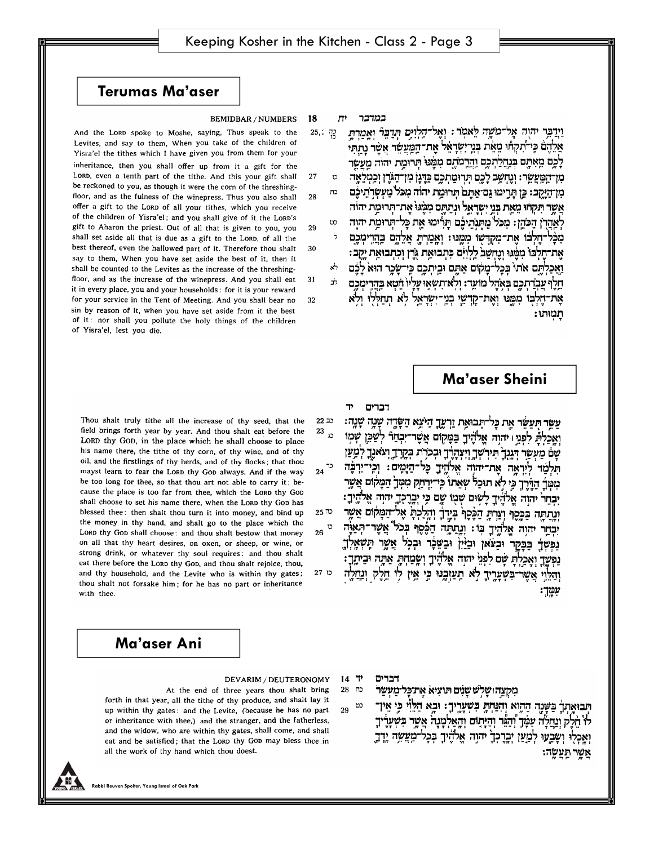# **Terumas Ma'aser**

#### **BEMIDBAR / NUMBERS** 18

And the LORD spoke to Moshe, saying, Thus speak to the Levites, and say to them, When you take of the children of Yisra'el the tithes which I have given you from them for your inheritance, then you shall offer up from it a gift for the LORD, even a tenth part of the tithe. And this your gift shall 27 be reckoned to you, as though it were the corn of the threshingfloor, and as the fulness of the winepress. Thus you also shall 28 offer a gift to the LORD of all your tithes, which you receive of the children of Yisra'el; and you shall give of it the LORD's gift to Aharon the priest. Out of all that is given to you, you 29 shall set aside all that is due as a gift to the LORD, of all the best thereof, even the hallowed part of it. Therefore thou shalt 30 say to them, When you have set aside the best of it, then it shall be counted to the Levites as the increase of the threshingfloor, and as the increase of the winepress. And you shall eat 31 it in every place, you and your households: for it is your reward for your service in the Tent of Meeting. And you shall bear no 32 sin by reason of it, when you have set aside from it the best of it: nor shall you pollute the holy things of the children of Yisra'el, lest you die.

m במדבר

וידבר יהוה אל־משה לאמר: ואל־הלוים תדבר ואמרת 25, 고고 אַלהס כִּי־תִקְחוּ מֵאֵת בְּנֵייִשְׂרָאֵל אַת־הַמֲעַשֶּׁר אַשּׁר נתתי לכם מאתם בנחלתכם והרמתם ממנו תרומת יהוה מעשר מן־הַמַּעֲשֶׂר: וְנֵחְשָׁב לֵכֵם תְּרוּמֶתְכֶם כַּדְּגַן מְן־הָגֹּרֶן וְכַמְלֵאֵה  $\mathbf{D}$ מְן־הַיַּקֵב: כֵּן תָּרֵימוּ גַם־אַתֵּם תִּרוּמֵת יהוֹה מִכֹּל מֵעִשְׁרֹתֵיכֵם כח אשר תקחו מאת בני ישראל ונתתם ממנו את־תרומת יהוה לְאֲהַרְן הַכֹּהֵן: מִכֹּל מֵתּנֹתיכֶם תַּרִימוּ אֵת כַּל־תְּרוּמֵת יהוְה כט מִכָּל־חֵלְבּׁוֹ אֵת־מִקְדְּשׁוּ מִמֵּנּוּ: וְאַמְרָתְ אֲלֶהֶם בַּהֲרִימְכֶם את־חלבו ממנו ונחשב ללוים כתבואת גרן וכתבואת יקב: וַאֲכַלְתֵּם אֹתוֹ בִּכְלֹ־מַקֹוֹם אֲתֵם וּבֵיתְכֶם כֵּי־שַׂכֵר הוּא לַבֶּׁם חלף עבדתכם באהל מועד: ולאיתשאו עליו חטא בהרימכם את־חלבו ממנו ואת־קדשי בני־ישראל לא תחללו ולא תמותו:

עשר תעשר אַת כַּל־תְּבוּאַת זַרְעֵךָ הָיֹצֵא הַשָּׂדֶה שָׁנֶה שָׁנֶה:

ואכלת לפני ויהוה אֱלֹהֵיךָ בַּמַקוּם אֲשֶׁר־יִבְחַרֿ לִשַּׁכֵּן שְׁמִוּ

וְהַלֵּוֵי אֲשֶׁר־בִּשְׁעָרֶיךָ לֹא תַעַּוְבֶנּוּ כִּי אֵין לוֹ חֵלֶק וְנַחֲלֶה

## Ma'aser Sheini

ייַמַן:

### Thou shalt truly tithe all the increase of thy seed, that the  $22$  בכ field brings forth year by year. And thou shalt eat before the  $23$ <sub>13</sub> LORD thy GOD, in the place which he shall choose to place his name there, the tithe of thy corn, of thy wine, and of thy oil, and the firstlings of thy herds, and of thy flocks; that thou mayst learn to fear the LORD thy GOD always. And if the way be too long for thee, so that thou art not able to carry it; because the place is too far from thee, which the LORD thy GOD shall choose to set his name there, when the LORD thy Gon has blessed thee: then shalt thou turn it into money, and bind up دה 25 the money in thy hand, and shalt go to the place which the LORD thy GoD shall choose: and thou shalt bestow that money on all that thy heart desires, on oxen, or sheep, or wine, or strong drink, or whatever thy soul requires: and thou shalt

eat there before the Loro thy Goo, and thou shalt rejoice, thou, and thy household, and the Levite who is within thy gates; thou shalt not forsake him; for he has no part or inheritance with thee.

## Ma'aser Ani

## DEVARIM / DEUTERONOMY

At the end of three years thou shalt bring forth in that year, all the tithe of thy produce, and shalt lay it up within thy gates: and the Levite, (because he has no part or inheritance with thee,) and the stranger, and the fatherless, and the widow, who are within thy gates, shall come, and shall eat and be satisfied; that the LORD thy GOD may bless thee in all the work of thy hand which thou doest.

14 דברים

29

מקצה שלש שנים תועיא את כל מעשר נח 28

הבואתר בשנה ההוא והנחת בשעריך: ובא הלוי כי אין־  $D$ לוْ הֹלֹק ונחלה עִמַּךְ וְהָגֵר וְהַיַּתַוֹּם וְהַאֲלְמָנָה אֲשֶׁר בְּשְׁעָרֶיךָ מעשה ירך ושבעו למען יִבְרַכְךָ יהוה אֵלהֵיךָ

ven Spolter, Young Israel of Oak Parl

 $24$  כד

 $26$   $\degree$ 

כו 27

## שם מעשר דגנך תירשך ויצהרך ובכרת בקרך וצאנך למען תלמד ליראה את־יהוה אלהיך כל־הַיָּמִים: וְכִי־יִרְבֶה מִמְּךָ הַדֵּרֶךְ כֵּי לְא תוּכַלֹ שָׁאֵתוֹ כֵּי־יִרְהַק מִמְּךָ הַמָּקוֹם אֲשֶר

71

דברים

יבחר יהוה אלהיך לשום שמו שם כֵּי יִבְרֵכְךָ יהוְה אֵלֹהֵיךָ:

וְנְתַתֶּה בַּכְּסֶף וְצַרְתָּ הַכָּסֶף בְּיָדֶר וְהָלַכְתָ אֶל־הַמָּקוֹם אֲשֵׁר יְבַחַר יהוה אֱלֹהֵיךָ בְּוֹ: וְנֵתַתֲה הַכֶּבֶּף בְּכֹל אֲשֶׁר־תְּאַוֶּה

נפּשַרָ בַּבַּקַר וּבְצֹּאן וּבַיַּיִן וּבִשָּׁבָר וּבְכִל אֲשֶר תַּשְׁאֲלְךָ נפשך ואכלת שם לפני יהוה אלהיך ושמחת אתה וביתך